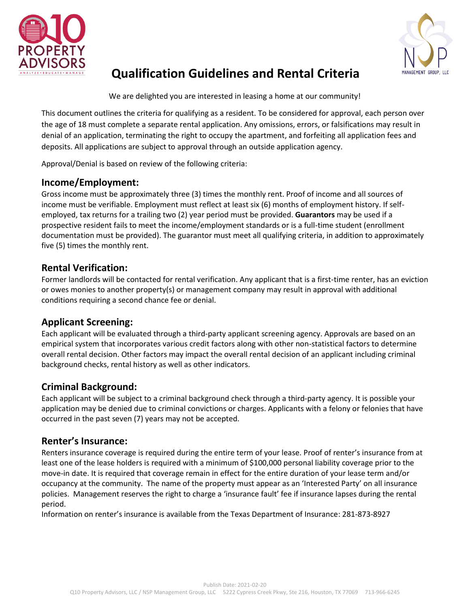



## **Qualification Guidelines and Rental Criteria**

We are delighted you are interested in leasing a home at our community!

This document outlines the criteria for qualifying as a resident. To be considered for approval, each person over the age of 18 must complete a separate rental application. Any omissions, errors, or falsifications may result in denial of an application, terminating the right to occupy the apartment, and forfeiting all application fees and deposits. All applications are subject to approval through an outside application agency.

Approval/Denial is based on review of the following criteria:

## **Income/Employment:**

Gross income must be approximately three (3) times the monthly rent. Proof of income and all sources of income must be verifiable. Employment must reflect at least six (6) months of employment history. If selfemployed, tax returns for a trailing two (2) year period must be provided. **Guarantors** may be used if a prospective resident fails to meet the income/employment standards or is a full-time student (enrollment documentation must be provided). The guarantor must meet all qualifying criteria, in addition to approximately five (5) times the monthly rent.

### **Rental Verification:**

Former landlords will be contacted for rental verification. Any applicant that is a first-time renter, has an eviction or owes monies to another property(s) or management company may result in approval with additional conditions requiring a second chance fee or denial.

## **Applicant Screening:**

Each applicant will be evaluated through a third-party applicant screening agency. Approvals are based on an empirical system that incorporates various credit factors along with other non-statistical factors to determine overall rental decision. Other factors may impact the overall rental decision of an applicant including criminal background checks, rental history as well as other indicators.

## **Criminal Background:**

Each applicant will be subject to a criminal background check through a third-party agency. It is possible your application may be denied due to criminal convictions or charges. Applicants with a felony or felonies that have occurred in the past seven (7) years may not be accepted.

#### **Renter's Insurance:**

Renters insurance coverage is required during the entire term of your lease. Proof of renter's insurance from at least one of the lease holders is required with a minimum of \$100,000 personal liability coverage prior to the move-in date. It is required that coverage remain in effect for the entire duration of your lease term and/or occupancy at the community. The name of the property must appear as an 'Interested Party' on all insurance policies. Management reserves the right to charge a 'insurance fault' fee if insurance lapses during the rental period.

Information on renter's insurance is available from the Texas Department of Insurance: 281-873-8927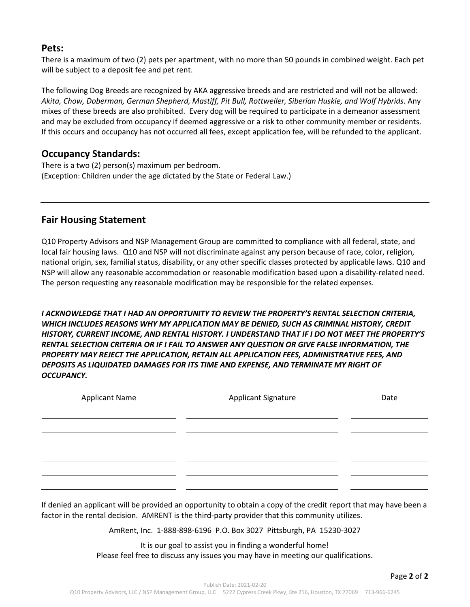#### **Pets:**

There is a maximum of two (2) pets per apartment, with no more than 50 pounds in combined weight. Each pet will be subject to a deposit fee and pet rent.

The following Dog Breeds are recognized by AKA aggressive breeds and are restricted and will not be allowed: *Akita, Chow, Doberman, German Shepherd, Mastiff, Pit Bull, Rottweiler, Siberian Huskie, and Wolf Hybrids.* Any mixes of these breeds are also prohibited. Every dog will be required to participate in a demeanor assessment and may be excluded from occupancy if deemed aggressive or a risk to other community member or residents. If this occurs and occupancy has not occurred all fees, except application fee, will be refunded to the applicant.

#### **Occupancy Standards:**

There is a two (2) person(s) maximum per bedroom. (Exception: Children under the age dictated by the State or Federal Law.)

## **Fair Housing Statement**

Q10 Property Advisors and NSP Management Group are committed to compliance with all federal, state, and local fair housing laws. Q10 and NSP will not discriminate against any person because of race, color, religion, national origin, sex, familial status, disability, or any other specific classes protected by applicable laws. Q10 and NSP will allow any reasonable accommodation or reasonable modification based upon a disability-related need. The person requesting any reasonable modification may be responsible for the related expenses.

*I ACKNOWLEDGE THAT I HAD AN OPPORTUNITY TO REVIEW THE PROPERTY'S RENTAL SELECTION CRITERIA, WHICH INCLUDES REASONS WHY MY APPLICATION MAY BE DENIED, SUCH AS CRIMINAL HISTORY, CREDIT HISTORY, CURRENT INCOME, AND RENTAL HISTORY. I UNDERSTAND THAT IF I DO NOT MEET THE PROPERTY'S RENTAL SELECTION CRITERIA OR IF I FAIL TO ANSWER ANY QUESTION OR GIVE FALSE INFORMATION, THE PROPERTY MAY REJECT THE APPLICATION, RETAIN ALL APPLICATION FEES, ADMINISTRATIVE FEES, AND DEPOSITS AS LIQUIDATED DAMAGES FOR ITS TIME AND EXPENSE, AND TERMINATE MY RIGHT OF OCCUPANCY.* 

| <b>Applicant Name</b> | Applicant Signature | Date |
|-----------------------|---------------------|------|
|                       |                     |      |
|                       |                     |      |
|                       |                     |      |
|                       |                     |      |
|                       |                     |      |
|                       |                     |      |

If denied an applicant will be provided an opportunity to obtain a copy of the credit report that may have been a factor in the rental decision. AMRENT is the third-party provider that this community utilizes.

AmRent, Inc. 1-888-898-6196 P.O. Box 3027 Pittsburgh, PA 15230-3027

It is our goal to assist you in finding a wonderful home! Please feel free to discuss any issues you may have in meeting our qualifications.